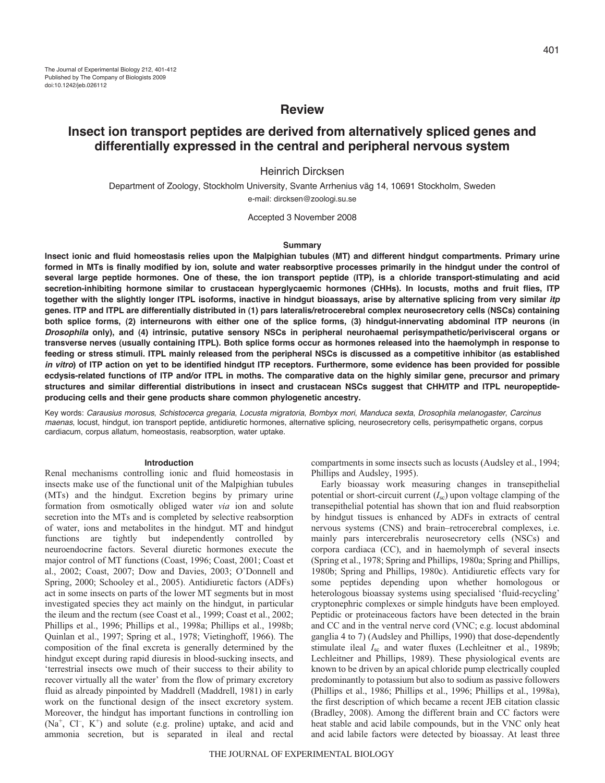# **Review**

# **Insect ion transport peptides are derived from alternatively spliced genes and differentially expressed in the central and peripheral nervous system**

## Heinrich Dircksen

Department of Zoology, Stockholm University, Svante Arrhenius väg 14, 10691 Stockholm, Sweden e-mail: dircksen@zoologi.su.se

Accepted 3 November 2008

#### **Summary**

**Insect ionic and fluid homeostasis relies upon the Malpighian tubules (MT) and different hindgut compartments. Primary urine formed in MTs is finally modified by ion, solute and water reabsorptive processes primarily in the hindgut under the control of several large peptide hormones. One of these, the ion transport peptide (ITP), is a chloride transport-stimulating and acid secretion-inhibiting hormone similar to crustacean hyperglycaemic hormones (CHHs). In locusts, moths and fruit flies, ITP together with the slightly longer ITPL isoforms, inactive in hindgut bioassays, arise by alternative splicing from very similar** *itp* **genes. ITP and ITPL are differentially distributed in (1) pars lateralis/retrocerebral complex neurosecretory cells (NSCs) containing both splice forms, (2) interneurons with either one of the splice forms, (3) hindgut-innervating abdominal ITP neurons (in** *Drosophila* **only), and (4) intrinsic, putative sensory NSCs in peripheral neurohaemal perisympathetic/perivisceral organs or transverse nerves (usually containing ITPL). Both splice forms occur as hormones released into the haemolymph in response to feeding or stress stimuli. ITPL mainly released from the peripheral NSCs is discussed as a competitive inhibitor (as established** *in vitro***) of ITP action on yet to be identified hindgut ITP receptors. Furthermore, some evidence has been provided for possible ecdysis-related functions of ITP and/or ITPL in moths. The comparative data on the highly similar gene, precursor and primary structures and similar differential distributions in insect and crustacean NSCs suggest that CHH/ITP and ITPL neuropeptideproducing cells and their gene products share common phylogenetic ancestry.**

Key words: Carausius morosus, Schistocerca gregaria, Locusta migratoria, Bombyx mori, Manduca sexta, Drosophila melanogaster, Carcinus maenas, locust, hindgut, ion transport peptide, antidiuretic hormones, alternative splicing, neurosecretory cells, perisympathetic organs, corpus cardiacum, corpus allatum, homeostasis, reabsorption, water uptake.

#### **Introduction**

Renal mechanisms controlling ionic and fluid homeostasis in insects make use of the functional unit of the Malpighian tubules (MTs) and the hindgut. Excretion begins by primary urine formation from osmotically obliged water *via* ion and solute secretion into the MTs and is completed by selective reabsorption of water, ions and metabolites in the hindgut. MT and hindgut functions are tightly but independently controlled by neuroendocrine factors. Several diuretic hormones execute the major control of MT functions (Coast, 1996; Coast, 2001; Coast et al., 2002; Coast, 2007; Dow and Davies, 2003; O'Donnell and Spring, 2000; Schooley et al., 2005). Antidiuretic factors (ADFs) act in some insects on parts of the lower MT segments but in most investigated species they act mainly on the hindgut, in particular the ileum and the rectum (see Coast et al., 1999; Coast et al., 2002; Phillips et al., 1996; Phillips et al., 1998a; Phillips et al., 1998b; Quinlan et al., 1997; Spring et al., 1978; Vietinghoff, 1966). The composition of the final excreta is generally determined by the hindgut except during rapid diuresis in blood-sucking insects, and 'terrestrial insects owe much of their success to their ability to recover virtually all the water' from the flow of primary excretory fluid as already pinpointed by Maddrell (Maddrell, 1981) in early work on the functional design of the insect excretory system. Moreover, the hindgut has important functions in controlling ion (Na<sup>+</sup>, Cl<sup>-</sup>, K<sup>+</sup>) and solute (e.g. proline) uptake, and acid and ammonia secretion, but is separated in ileal and rectal compartments in some insects such as locusts (Audsley et al., 1994; Phillips and Audsley, 1995).

Early bioassay work measuring changes in transepithelial potential or short-circuit current  $(I_{\rm sc})$  upon voltage clamping of the transepithelial potential has shown that ion and fluid reabsorption by hindgut tissues is enhanced by ADFs in extracts of central nervous systems (CNS) and brain–retrocerebral complexes, i.e. mainly pars intercerebralis neurosecretory cells (NSCs) and corpora cardiaca (CC), and in haemolymph of several insects (Spring et al., 1978; Spring and Phillips, 1980a; Spring and Phillips, 1980b; Spring and Phillips, 1980c). Antidiuretic effects vary for some peptides depending upon whether homologous or heterologous bioassay systems using specialised 'fluid-recycling' cryptonephric complexes or simple hindguts have been employed. Peptidic or proteinaceous factors have been detected in the brain and CC and in the ventral nerve cord (VNC; e.g. locust abdominal ganglia 4 to 7) (Audsley and Phillips, 1990) that dose-dependently stimulate ileal *I*<sub>sc</sub> and water fluxes (Lechleitner et al., 1989b; Lechleitner and Phillips, 1989). These physiological events are known to be driven by an apical chloride pump electrically coupled predominantly to potassium but also to sodium as passive followers (Phillips et al., 1986; Phillips et al., 1996; Phillips et al., 1998a), the first description of which became a recent JEB citation classic (Bradley, 2008). Among the different brain and CC factors were heat stable and acid labile compounds, but in the VNC only heat and acid labile factors were detected by bioassay. At least three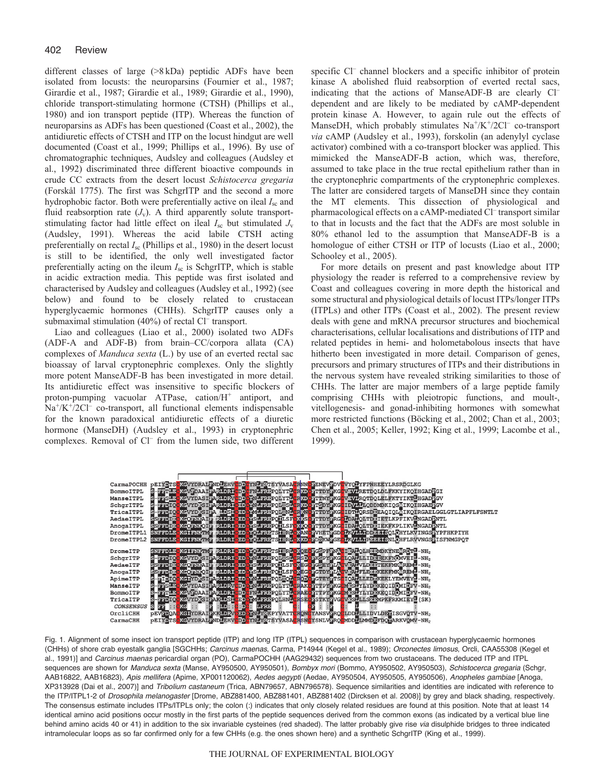different classes of large (>8 kDa) peptidic ADFs have been isolated from locusts: the neuroparsins (Fournier et al., 1987; Girardie et al., 1987; Girardie et al., 1989; Girardie et al., 1990), chloride transport-stimulating hormone (CTSH) (Phillips et al., 1980) and ion transport peptide (ITP). Whereas the function of neuroparsins as ADFs has been questioned (Coast et al., 2002), the antidiuretic effects of CTSH and ITP on the locust hindgut are well documented (Coast et al., 1999; Phillips et al., 1996). By use of chromatographic techniques, Audsley and colleagues (Audsley et al., 1992) discriminated three different bioactive compounds in crude CC extracts from the desert locust *Schistocerca gregaria* (Forskål 1775). The first was SchgrITP and the second a more hydrophobic factor. Both were preferentially active on ileal *I*sc and fluid reabsorption rate  $(J_v)$ . A third apparently solute transportstimulating factor had little effect on ileal *I*sc but stimulated *J*<sup>v</sup> (Audsley, 1991). Whereas the acid labile CTSH acting preferentially on rectal  $I_{\rm sc}$  (Phillips et al., 1980) in the desert locust is still to be identified, the only well investigated factor preferentially acting on the ileum *I*sc is SchgrITP, which is stable in acidic extraction media. This peptide was first isolated and characterised by Audsley and colleagues (Audsley et al., 1992) (see below) and found to be closely related to crustacean hyperglycaemic hormones (CHHs). SchgrITP causes only a submaximal stimulation  $(40\%)$  of rectal Cl<sup>–</sup> transport.

Liao and colleagues (Liao et al., 2000) isolated two ADFs (ADF-A and ADF-B) from brain–CC/corpora allata (CA) complexes of *Manduca sexta* (L.) by use of an everted rectal sac bioassay of larval cryptonephric complexes. Only the slightly more potent ManseADF-B has been investigated in more detail. Its antidiuretic effect was insensitive to specific blockers of proton-pumping vacuolar ATPase, cation/H<sup>+</sup> antiport, and Na<sup>+</sup>/K<sup>+</sup>/2Cl<sup>-</sup> co-transport, all functional elements indispensable for the known paradoxical antidiuretic effects of a diuretic hormone (ManseDH) (Audsley et al., 1993) in cryptonephric complexes. Removal of Cl– from the lumen side, two different specific Cl<sup>-</sup> channel blockers and a specific inhibitor of protein kinase A abolished fluid reabsorption of everted rectal sacs, indicating that the actions of ManseADF-B are clearly Cl– dependent and are likely to be mediated by cAMP-dependent protein kinase A. However, to again rule out the effects of ManseDH, which probably stimulates  $\text{Na}^{\dagger}/\text{K}^{\dagger}/2\text{Cl}^-$  co-transport *via* cAMP (Audsley et al., 1993), forskolin (an adenylyl cyclase activator) combined with a co-transport blocker was applied. This mimicked the ManseADF-B action, which was, therefore, assumed to take place in the true rectal epithelium rather than in the cryptonephric compartments of the cryptonephric complexes. The latter are considered targets of ManseDH since they contain the MT elements. This dissection of physiological and pharmacological effects on a cAMP-mediated Cl<sup>-</sup> transport similar to that in locusts and the fact that the ADFs are most soluble in 80% ethanol led to the assumption that ManseADF-B is a homologue of either CTSH or ITP of locusts (Liao et al., 2000; Schooley et al., 2005).

For more details on present and past knowledge about ITP physiology the reader is referred to a comprehensive review by Coast and colleagues covering in more depth the historical and some structural and physiological details of locust ITPs/longer ITPs (ITPLs) and other ITPs (Coast et al., 2002). The present review deals with gene and mRNA precursor structures and biochemical characterisations, cellular localisations and distributions of ITP and related peptides in hemi- and holometabolous insects that have hitherto been investigated in more detail. Comparison of genes, precursors and primary structures of ITPs and their distributions in the nervous system have revealed striking similarities to those of CHHs. The latter are major members of a large peptide family comprising CHHs with pleiotropic functions, and moult-, vitellogenesis- and gonad-inhibiting hormones with somewhat more restricted functions (Böcking et al., 2002; Chan et al., 2003; Chen et al., 2005; Keller, 1992; King et al., 1999; Lacombe et al., 1999).

|                  |                                                     |  | CarmaPOCHH pEIYDTSOKCVYDRALENDFEHVCDDCYNFYRTSYVASACRNNGEENEVEDVCVYOFYFPNHEEYLRSRDGLKG                                   |
|------------------|-----------------------------------------------------|--|-------------------------------------------------------------------------------------------------------------------------|
| BommoITPL        |                                                     |  | S-EFTLE KCVEDAAIFARLORICDDCFNLFREPOLYTICRKDCFTDYFKGCVEVIRETDOLDLFKKYIKQIHGADEGI                                         |
| ManseITPL        |                                                     |  | S-EESLE KGVYDASIFARLDRVODD YNLEREPOLYTLCRKDOFTTNYBKG VEVFROTDOLELFKTYIKTLHGADEGV                                        |
| SchqrITPL        |                                                     |  | S-EFDIQCKGVYDKSIFARMDREGEDQYNLEREPQLHSLCRKDQFTSDYEKGCIDVLLLQDDMDKIQSNIKQIHGAERGV                                        |
| TricaITPL        |                                                     |  | S-EFDIQ KEVYDKSIFA (IDSI EBD YMLEREPOLENI GRKN FITDYEKS IDTIQRSDEEAQIQLÄIKQIRGAEL GGLGTLIAPFLFSNTLT                     |
| AedaeITPL        |                                                     |  | SSFFDIECKGOFNKAIF KLDRICED VSLFREPOILSFCKKSCFTTDYERGCIDAIOLTDEIETLKPFIKVINGADENTL                                       |
| AnogaITPL        |                                                     |  | SSFFDIE KGOFNKOIF KLDRI EDO YSLFREPOILSFOKKOEFTDYEKGOIDAIOLTDEIEKFKPLIKVFNGADENTL                                       |
|                  |                                                     |  | DromeITPL1_SNEFDLECKGIFNKTMETRLDRICEDCYOLFRETSLHRLCKANCEVHETEGDCLKVLLIDDEEISQLCHYLKVINGSEYPFHKPIYH                      |
|                  |                                                     |  | DromeITPL2 SNFFDLE KGIFNKTMF RLDRICEDEYOLFRETSIHRLOKKDCFDSKWFGE <mark>LLKVLLIPSBBIS</mark> NLOHFLRVVNGSEISFNMGPOT       |
|                  |                                                     |  |                                                                                                                         |
| DromeITP         |                                                     |  | SNFFDLECKGIFNKTMT RLDRICED YOLFRETSIHRLCKOEGEGSPFENACIEALOLHEEMDKYNEARDTL-NH2                                           |
| SchqrITP         |                                                     |  | S-EFDIOCKGVYDKSIEARLDRICEDCYNLFREPOLHSICRSDCEKSPYEKGELOAILLIDEEEKFNOMVEIL-NH2                                           |
| AedaeITP         |                                                     |  | SSFFDIECKGOFNKAIFWRLDRICEDCYSLFREPOILSFCKEGOFGSEYFLACVEALVLDEPTEKFMKYREMU-NH2                                           |
| AnogaITP         |                                                     |  | SSFFDIE KGOFNKOIF KRLDRI EDE YSLFREPOILSFCKEG FGTDYFLACVEALFLEEEKFMKAREME-NH2                                           |
| ApimeITP         |                                                     |  | S-EIDIOCKGIYDKSIEARLDRICED YNLFREPOLEOLENDDEECTEYETSCIQALLLEDEKEKLYEMVEYL-NH2                                           |
| ManseITP         |                                                     |  | S-EESIECKGVYDASIEARIDRVCDDCYNLEREPOLYTLCRAKCETPYEKGOMESLYLYDEKEOIDOMIDFV-NH2                                            |
| BommoITP         |                                                     |  | S-EFTLECKGVEDAAIFARLDRICDDCFNLFREPOLYTLCRAECFTTPYEKGOMESLYLYDEKEOIDOMIDFV-NH2                                           |
| TricaITP         |                                                     |  | S-EFDIOCKGVYDKSIFAKLDSICEDCYMLEREPOLHNLCRSECFSTKYFVGCVESLLLSEEMPKFRKMIEYL(SK)                                           |
| <b>CONSENSUS</b> | S FF :: $CKG$ :: $F$ : $F$ : $LD: C$ : $D C$ : LFRE |  |                                                                                                                         |
| OrcliCHH         |                                                     |  | <b>PEVEDOACKGIYDRAIRKKLDRVCEDCYNLYRKPYVATTCRONCYANSVRROCLDDLLLIDVLDEYISGVQTV-NH2</b>                                    |
|                  |                                                     |  |                                                                                                                         |
| CarmaCHH         |                                                     |  | PEIYDTS <mark>EKGVYDRALENDEEHVGDDGYNEYR</mark> TSYVASA <mark>GRSNGYSNLVEROE</mark> MDDELMMDEFDONARKVOMV-NH <sub>2</sub> |

Fig. 1. Alignment of some insect ion transport peptide (ITP) and long ITP (ITPL) sequences in comparison with crustacean hyperglycaemic hormones (CHHs) of shore crab eyestalk ganglia [SGCHHs; Carcinus maenas, Carma, P14944 (Kegel et al., 1989); Orconectes limosus, Orcli, CAA55308 (Kegel et al., 1991)] and Carcinus maenas pericardial organ (PO), CarmaPOCHH (AAG29432) sequences from two crustaceans. The deduced ITP and ITPL sequences are shown for Manduca sexta (Manse, AY950500, AY950501), Bombyx mori (Bommo, AY950502, AY950503), Schistocerca gregaria (Schgr, AAB16822, AAB16823), Apis mellifera (Apime, XP001120062), Aedes aegypti (Aedae, AY950504, AY950505, AY950506), Anopheles gambiae [Anoga, XP313928 (Dai et al., 2007)] and Tribolium castaneum (Trica, ABN79657, ABN796578). Sequence similarities and identities are indicated with reference to the ITP/ITPL1-2 of Drosophila melanogaster [Drome, ABZ881400, ABZ881401, ABZ881402 (Dircksen et al. 2008)] by grey and black shading, respectively. The consensus estimate includes ITPs/ITPLs only; the colon (:) indicates that only closely related residues are found at this position. Note that at least 14 identical amino acid positions occur mostly in the first parts of the peptide sequences derived from the common exons (as indicated by a vertical blue line behind amino acids 40 or 41) in addition to the six invariable cysteines (red shaded). The latter probably give rise via disulphide bridges to three indicated intramolecular loops as so far confirmed only for a few CHHs (e.g. the ones shown here) and a synthetic SchgrITP (King et al., 1999).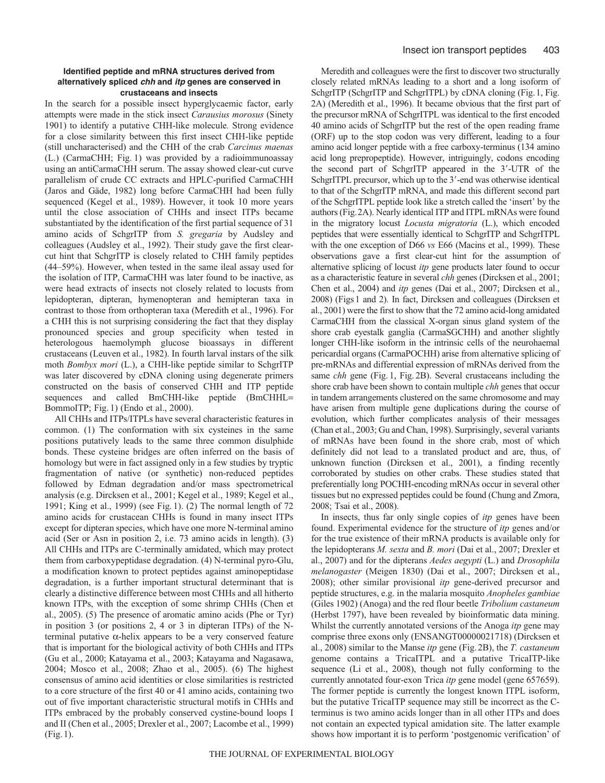## **Identified peptide and mRNA structures derived from alternatively spliced** *chh* **and** *itp* **genes are conserved in crustaceans and insects**

In the search for a possible insect hyperglycaemic factor, early attempts were made in the stick insect *Carausius morosus* (Sinety 1901) to identify a putative CHH-like molecule*.* Strong evidence for a close similarity between this first insect CHH-like peptide (still uncharacterised) and the CHH of the crab *Carcinus maenas* (L.) (CarmaCHH; Fig. 1) was provided by a radioimmunoassay using an antiCarmaCHH serum. The assay showed clear-cut curve parallelism of crude CC extracts and HPLC-purified CarmaCHH (Jaros and Gäde, 1982) long before CarmaCHH had been fully sequenced (Kegel et al., 1989). However, it took 10 more years until the close association of CHHs and insect ITPs became substantiated by the identification of the first partial sequence of 31 amino acids of SchgrITP from *S. gregaria* by Audsley and colleagues (Audsley et al., 1992). Their study gave the first clearcut hint that SchgrITP is closely related to CHH family peptides (44–59%). However, when tested in the same ileal assay used for the isolation of ITP, CarmaCHH was later found to be inactive, as were head extracts of insects not closely related to locusts from lepidopteran, dipteran, hymenopteran and hemipteran taxa in contrast to those from orthopteran taxa (Meredith et al., 1996). For a CHH this is not surprising considering the fact that they display pronounced species and group specificity when tested in heterologous haemolymph glucose bioassays in different crustaceans (Leuven et al., 1982). In fourth larval instars of the silk moth *Bombyx mori* (L.), a CHH-like peptide similar to SchgrITP was later discovered by cDNA cloning using degenerate primers constructed on the basis of conserved CHH and ITP peptide sequences and called BmCHH-like peptide (BmCHHL= BommoITP; Fig. 1) (Endo et al., 2000).

All CHHs and ITPs/ITPLs have several characteristic features in common. (1) The conformation with six cysteines in the same positions putatively leads to the same three common disulphide bonds. These cysteine bridges are often inferred on the basis of homology but were in fact assigned only in a few studies by tryptic fragmentation of native (or synthetic) non-reduced peptides followed by Edman degradation and/or mass spectrometrical analysis (e.g. Dircksen et al., 2001; Kegel et al., 1989; Kegel et al., 1991; King et al., 1999) (see Fig. 1). (2) The normal length of 72 amino acids for crustacean CHHs is found in many insect ITPs except for dipteran species, which have one more N-terminal amino acid (Ser or Asn in position 2, i.e. 73 amino acids in length). (3) All CHHs and ITPs are C-terminally amidated, which may protect them from carboxypeptidase degradation. (4) N-terminal pyro-Glu, a modification known to protect peptides against aminopeptidase degradation, is a further important structural determinant that is clearly a distinctive difference between most CHHs and all hitherto known ITPs, with the exception of some shrimp CHHs (Chen et al., 2005). (5) The presence of aromatic amino acids (Phe or Tyr) in position 3 (or positions 2, 4 or 3 in dipteran ITPs) of the Nterminal putative α-helix appears to be a very conserved feature that is important for the biological activity of both CHHs and ITPs (Gu et al., 2000; Katayama et al., 2003; Katayama and Nagasawa, 2004; Mosco et al., 2008; Zhao et al., 2005). (6) The highest consensus of amino acid identities or close similarities is restricted to a core structure of the first 40 or 41 amino acids, containing two out of five important characteristic structural motifs in CHHs and ITPs embraced by the probably conserved cystine-bound loops I and II (Chen et al., 2005; Drexler et al., 2007; Lacombe et al., 1999) (Fig.1).

Meredith and colleagues were the first to discover two structurally closely related mRNAs leading to a short and a long isoform of SchgrITP (SchgrITP and SchgrITPL) by cDNA cloning (Fig. 1, Fig. 2A) (Meredith et al., 1996). It became obvious that the first part of the precursor mRNA of SchgrITPL was identical to the first encoded 40 amino acids of SchgrITP but the rest of the open reading frame (ORF) up to the stop codon was very different, leading to a four amino acid longer peptide with a free carboxy-terminus (134 amino acid long prepropeptide). However, intriguingly, codons encoding the second part of SchgrITP appeared in the 3'-UTR of the SchgrITPL precursor, which up to the 3'-end was otherwise identical to that of the SchgrITP mRNA, and made this different second part of the SchgrITPL peptide look like a stretch called the 'insert' by the authors (Fig.2A). Nearly identical ITP and ITPL mRNAs were found in the migratory locust *Locusta migratoria* (L.), which encoded peptides that were essentially identical to SchgrITP and SchgrITPL with the one exception of D66 *vs* E66 (Macins et al., 1999). These observations gave a first clear-cut hint for the assumption of alternative splicing of locust *itp* gene products later found to occur as a characteristic feature in several *chh* genes (Dircksen et al., 2001; Chen et al., 2004) and *itp* genes (Dai et al., 2007; Dircksen et al., 2008) (Figs 1 and 2). In fact, Dircksen and colleagues (Dircksen et al., 2001) were the first to show that the 72 amino acid-long amidated CarmaCHH from the classical X-organ sinus gland system of the shore crab eyestalk ganglia (CarmaSGCHH) and another slightly longer CHH-like isoform in the intrinsic cells of the neurohaemal pericardial organs (CarmaPOCHH) arise from alternative splicing of pre-mRNAs and differential expression of mRNAs derived from the same *chh* gene (Fig. 1, Fig. 2B). Several crustaceans including the shore crab have been shown to contain multiple *chh* genes that occur in tandem arrangements clustered on the same chromosome and may have arisen from multiple gene duplications during the course of evolution, which further complicates analysis of their messages (Chan et al., 2003; Gu and Chan, 1998). Surprisingly, several variants of mRNAs have been found in the shore crab, most of which definitely did not lead to a translated product and are, thus, of unknown function (Dircksen et al., 2001), a finding recently corroborated by studies on other crabs. These studies stated that preferentially long POCHH-encoding mRNAs occur in several other tissues but no expressed peptides could be found (Chung and Zmora, 2008; Tsai et al., 2008).

In insects, thus far only single copies of *itp* genes have been found. Experimental evidence for the structure of *itp* genes and/or for the true existence of their mRNA products is available only for the lepidopterans *M. sexta* and *B. mori* (Dai et al., 2007; Drexler et al., 2007) and for the dipterans *Aedes aegypti* (L.) and *Drosophila melanogaster* (Meigen 1830) (Dai et al., 2007; Dircksen et al., 2008); other similar provisional *itp* gene-derived precursor and peptide structures, e.g. in the malaria mosquito *Anopheles gambiae* (Giles 1902) (Anoga) and the red flour beetle *Tribolium castaneum* (Herbst 1797), have been revealed by bioinformatic data mining. Whilst the currently annotated versions of the Anoga *itp* gene may comprise three exons only (ENSANGT00000021718) (Dircksen et al., 2008) similar to the Manse *itp* gene (Fig.2B), the *T. castaneum* genome contains a TricaITPL and a putative TricaITP-like sequence (Li et al., 2008), though not fully conforming to the currently annotated four-exon Trica *itp* gene model (gene 657659). The former peptide is currently the longest known ITPL isoform, but the putative TricaITP sequence may still be incorrect as the Cterminus is two amino acids longer than in all other ITPs and does not contain an expected typical amidation site. The latter example shows how important it is to perform 'postgenomic verification' of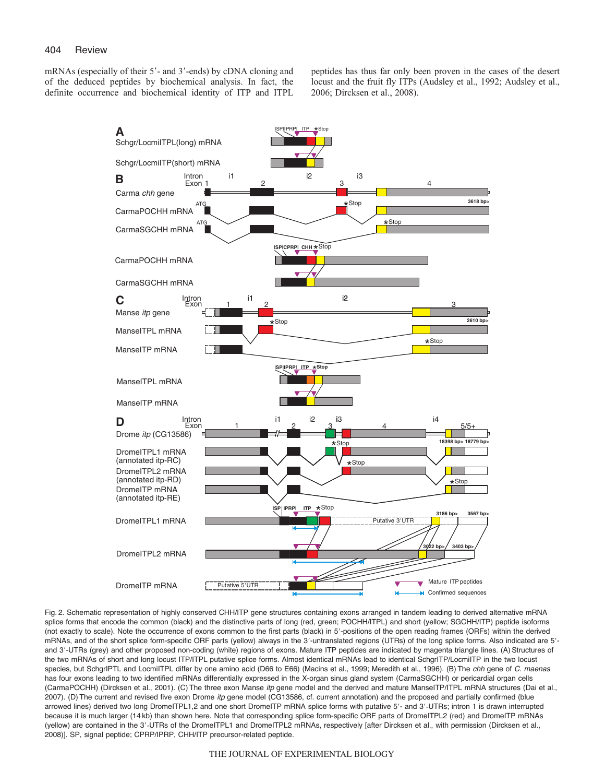mRNAs (especially of their 5'- and 3'-ends) by cDNA cloning and of the deduced peptides by biochemical analysis. In fact, the definite occurrence and biochemical identity of ITP and ITPL peptides has thus far only been proven in the cases of the desert locust and the fruit fly ITPs (Audsley et al., 1992; Audsley et al., 2006; Dircksen et al., 2008).



Fig. 2. Schematic representation of highly conserved CHH/ITP gene structures containing exons arranged in tandem leading to derived alternative mRNA splice forms that encode the common (black) and the distinctive parts of long (red, green; POCHH/ITPL) and short (yellow; SGCHH/ITP) peptide isoforms (not exactly to scale). Note the occurrence of exons common to the first parts (black) in 5'-positions of the open reading frames (ORFs) within the derived mRNAs, and of the short splice form-specific ORF parts (yellow) always in the 3'-untranslated regions (UTRs) of the long splice forms. Also indicated are 5'and 3--UTRs (grey) and other proposed non-coding (white) regions of exons. Mature ITP peptides are indicated by magenta triangle lines. (A) Structures of the two mRNAs of short and long locust ITP/ITPL putative splice forms. Almost identical mRNAs lead to identical SchgrITP/LocmiITP in the two locust species, but SchgrIPTL and LocmiITPL differ by one amino acid (D66 to E66) (Macins et al., 1999; Meredith et al., 1996). (B) The chh gene of C. maenas has four exons leading to two identified mRNAs differentially expressed in the X-organ sinus gland system (CarmaSGCHH) or pericardial organ cells (CarmaPOCHH) (Dircksen et al., 2001). (C) The three exon Manse itp gene model and the derived and mature ManseITP/ITPL mRNA structures (Dai et al., 2007). (D) The current and revised five exon Drome itp gene model (CG13586, cf. current annotation) and the proposed and partially confirmed (blue arrowed lines) derived two long DromeITPL1,2 and one short DromeITP mRNA splice forms with putative 5'- and 3'-UTRs; intron 1 is drawn interrupted because it is much larger (14 kb) than shown here. Note that corresponding splice form-specific ORF parts of DromeITPL2 (red) and DromeITP mRNAs (yellow) are contained in the 3'-UTRs of the DromeITPL1 and DromeITPL2 mRNAs, respectively [after Dircksen et al., with permission (Dircksen et al., 2008)]. SP, signal peptide; CPRP/IPRP, CHH/ITP precursor-related peptide.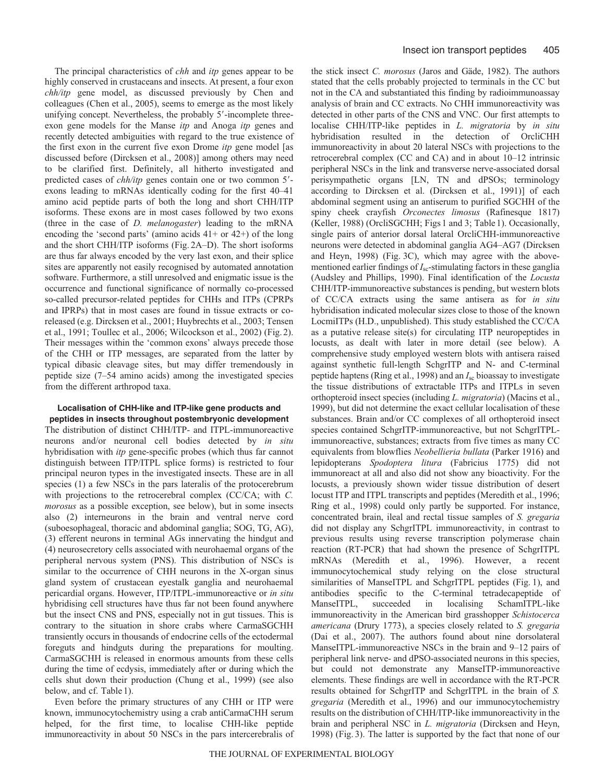The principal characteristics of *chh* and *itp* genes appear to be highly conserved in crustaceans and insects. At present, a four exon *chh/itp* gene model, as discussed previously by Chen and colleagues (Chen et al., 2005), seems to emerge as the most likely unifying concept. Nevertheless, the probably 5'-incomplete threeexon gene models for the Manse *itp* and Anoga *itp* genes and recently detected ambiguities with regard to the true existence of the first exon in the current five exon Drome *itp* gene model [as discussed before (Dircksen et al., 2008)] among others may need to be clarified first. Definitely, all hitherto investigated and predicted cases of *chh/itp* genes contain one or two common 5'exons leading to mRNAs identically coding for the first 40–41 amino acid peptide parts of both the long and short CHH/ITP isoforms. These exons are in most cases followed by two exons (three in the case of *D. melanogaster*) leading to the mRNA encoding the 'second parts' (amino acids 41+ or 42+) of the long and the short CHH/ITP isoforms (Fig. 2A–D). The short isoforms are thus far always encoded by the very last exon, and their splice sites are apparently not easily recognised by automated annotation software. Furthermore, a still unresolved and enigmatic issue is the occurrence and functional significance of normally co-processed so-called precursor-related peptides for CHHs and ITPs (CPRPs and IPRPs) that in most cases are found in tissue extracts or coreleased (e.g. Dircksen et al., 2001; Huybrechts et al., 2003; Tensen et al., 1991; Toullec et al., 2006; Wilcockson et al., 2002) (Fig. 2). Their messages within the 'common exons' always precede those of the CHH or ITP messages, are separated from the latter by typical dibasic cleavage sites, but may differ tremendously in peptide size (7–54 amino acids) among the investigated species from the different arthropod taxa.

#### **Localisation of CHH-like and ITP-like gene products and peptides in insects throughout postembryonic development**

The distribution of distinct CHH/ITP- and ITPL-immunoreactive neurons and/or neuronal cell bodies detected by *in situ* hybridisation with *itp* gene-specific probes (which thus far cannot distinguish between ITP/ITPL splice forms) is restricted to four principal neuron types in the investigated insects. These are in all species (1) a few NSCs in the pars lateralis of the protocerebrum with projections to the retrocerebral complex (CC/CA; with *C. morosus* as a possible exception, see below), but in some insects also (2) interneurons in the brain and ventral nerve cord (suboesophageal, thoracic and abdominal ganglia; SOG, TG, AG), (3) efferent neurons in terminal AGs innervating the hindgut and (4) neurosecretory cells associated with neurohaemal organs of the peripheral nervous system (PNS). This distribution of NSCs is similar to the occurrence of CHH neurons in the X-organ sinus gland system of crustacean eyestalk ganglia and neurohaemal pericardial organs. However, ITP/ITPL-immunoreactive or *in situ* hybridising cell structures have thus far not been found anywhere but the insect CNS and PNS, especially not in gut tissues. This is contrary to the situation in shore crabs where CarmaSGCHH transiently occurs in thousands of endocrine cells of the ectodermal foreguts and hindguts during the preparations for moulting. CarmaSGCHH is released in enormous amounts from these cells during the time of ecdysis, immediately after or during which the cells shut down their production (Chung et al., 1999) (see also below, and cf. Table 1).

Even before the primary structures of any CHH or ITP were known, immunocytochemistry using a crab antiCarmaCHH serum helped, for the first time, to localise CHH-like peptide immunoreactivity in about 50 NSCs in the pars intercerebralis of the stick insect *C. morosus* (Jaros and Gäde, 1982). The authors stated that the cells probably projected to terminals in the CC but not in the CA and substantiated this finding by radioimmunoassay analysis of brain and CC extracts. No CHH immunoreactivity was detected in other parts of the CNS and VNC. Our first attempts to localise CHH/ITP-like peptides in *L. migratoria* by *in situ* hybridisation resulted in the detection of OrcliCHH immunoreactivity in about 20 lateral NSCs with projections to the retrocerebral complex (CC and CA) and in about 10–12 intrinsic peripheral NSCs in the link and transverse nerve-associated dorsal perisympathetic organs [LN, TN and dPSOs; terminology according to Dircksen et al. (Dircksen et al., 1991)] of each abdominal segment using an antiserum to purified SGCHH of the spiny cheek crayfish *Orconectes limosus* (Rafinesque 1817) (Keller, 1988) (OrcliSGCHH; Figs1 and 3; Table1). Occasionally, single pairs of anterior dorsal lateral OrcliCHH-immunoreactive neurons were detected in abdominal ganglia AG4–AG7 (Dircksen and Heyn, 1998) (Fig. 3C), which may agree with the abovementioned earlier findings of *I*<sub>sc</sub>-stimulating factors in these ganglia (Audsley and Phillips, 1990). Final identification of the *Locusta* CHH/ITP-immunoreactive substances is pending, but western blots of CC/CA extracts using the same antisera as for *in situ* hybridisation indicated molecular sizes close to those of the known LocmiITPs (H.D., unpublished). This study established the CC/CA as a putative release site(s) for circulating ITP neuropeptides in locusts, as dealt with later in more detail (see below). A comprehensive study employed western blots with antisera raised against synthetic full-length SchgrITP and N- and C-terminal peptide haptens (Ring et al., 1998) and an *I*sc bioassay to investigate the tissue distributions of extractable ITPs and ITPLs in seven orthopteroid insect species (including *L. migratoria*) (Macins et al., 1999), but did not determine the exact cellular localisation of these substances. Brain and/or CC complexes of all orthopteroid insect species contained SchgrITP-immunoreactive, but not SchgrITPLimmunoreactive, substances; extracts from five times as many CC equivalents from blowflies *Neobellieria bullata* (Parker 1916) and lepidopterans *Spodoptera litura* (Fabricius 1775) did not immunoreact at all and also did not show any bioactivity. For the locusts, a previously shown wider tissue distribution of desert locust ITP and ITPL transcripts and peptides (Meredith et al., 1996; Ring et al., 1998) could only partly be supported. For instance, concentrated brain, ileal and rectal tissue samples of *S. gregaria* did not display any SchgrITPL immunoreactivity, in contrast to previous results using reverse transcription polymerase chain reaction (RT-PCR) that had shown the presence of SchgrITPL mRNAs (Meredith et al., 1996). However, a recent immunocytochemical study relying on the close structural similarities of ManseITPL and SchgrITPL peptides (Fig. 1), and antibodies specific to the C-terminal tetradecapeptide of succeeded in localising SchamITPL-like immunoreactivity in the American bird grasshopper *Schistocerca americana* (Drury 1773), a species closely related to *S. gregaria* (Dai et al., 2007). The authors found about nine dorsolateral ManseITPL-immunoreactive NSCs in the brain and 9–12 pairs of peripheral link nerve- and dPSO-associated neurons in this species, but could not demonstrate any ManseITP-immunoreactive elements. These findings are well in accordance with the RT-PCR results obtained for SchgrITP and SchgrITPL in the brain of *S. gregaria* (Meredith et al., 1996) and our immunocytochemistry results on the distribution of CHH/ITP-like immunoreactivity in the brain and peripheral NSC in *L. migratoria* (Dircksen and Heyn, 1998) (Fig. 3). The latter is supported by the fact that none of our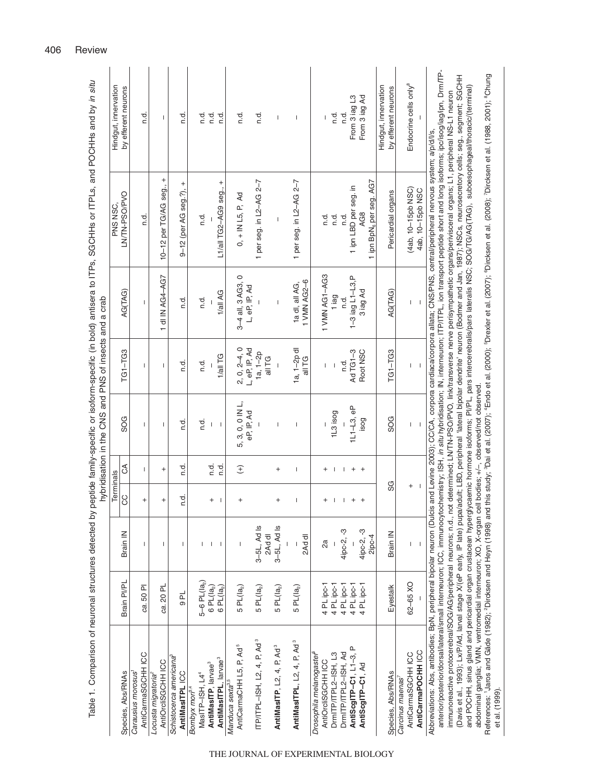|                                                                                                                                                                                                                                                                                                                                                                                                                                                                                                                                                                                                                                                                                                                                                                                                                                                                                                                                                                                                                                                                                                                                                                                                                                                                                                                                                      |                                                 |                                     |                                       |                        | hybridisation in the CNS and PNS of insects and a crab |                                            |                                             | Table 1. Comparison of neuronal structures detected by peptide family-specific or isoform-specific (in bold) antisera to ITPs, SGCHHs or ITPLs, and POCHHs and by in situ |                                             |
|------------------------------------------------------------------------------------------------------------------------------------------------------------------------------------------------------------------------------------------------------------------------------------------------------------------------------------------------------------------------------------------------------------------------------------------------------------------------------------------------------------------------------------------------------------------------------------------------------------------------------------------------------------------------------------------------------------------------------------------------------------------------------------------------------------------------------------------------------------------------------------------------------------------------------------------------------------------------------------------------------------------------------------------------------------------------------------------------------------------------------------------------------------------------------------------------------------------------------------------------------------------------------------------------------------------------------------------------------|-------------------------------------------------|-------------------------------------|---------------------------------------|------------------------|--------------------------------------------------------|--------------------------------------------|---------------------------------------------|---------------------------------------------------------------------------------------------------------------------------------------------------------------------------|---------------------------------------------|
| Species, Abs/RNAs                                                                                                                                                                                                                                                                                                                                                                                                                                                                                                                                                                                                                                                                                                                                                                                                                                                                                                                                                                                                                                                                                                                                                                                                                                                                                                                                    | Brain PI/PL                                     | Brain IN                            | Terminals<br>CC                       | E                      | SOG                                                    | $TGI - TGS$                                | AG(TAG)                                     | LN/TN-PSO/PVO<br>PNS NSC,                                                                                                                                                 | Hindgut, innervation<br>by efferent neurons |
| AntiCarmaSGCHH ICC<br>Carausius morosus                                                                                                                                                                                                                                                                                                                                                                                                                                                                                                                                                                                                                                                                                                                                                                                                                                                                                                                                                                                                                                                                                                                                                                                                                                                                                                              | ca. 50 PI                                       | T                                   | $^{+}$                                | L                      | T                                                      | T                                          | L                                           | n.d.                                                                                                                                                                      | n.d                                         |
| AntiOrcliSGCHH ICC<br>Locusta migratoria®                                                                                                                                                                                                                                                                                                                                                                                                                                                                                                                                                                                                                                                                                                                                                                                                                                                                                                                                                                                                                                                                                                                                                                                                                                                                                                            | ca. 20 PL                                       | T                                   | $^{+}$                                | $^{+}$                 | T                                                      | T                                          | 1 dl IN AG4-AG7                             | $\ddot{}$<br>10-12 per TG/AG seg.,                                                                                                                                        | $\mathbf{I}$                                |
| Schistocerca americana<br>AntiMasITPL ICC                                                                                                                                                                                                                                                                                                                                                                                                                                                                                                                                                                                                                                                                                                                                                                                                                                                                                                                                                                                                                                                                                                                                                                                                                                                                                                            | $\overline{P}$                                  | 1                                   | to.<br>C                              | t.<br>S                | n.d                                                    | n.d.                                       | r.d.                                        | $^{+}$<br>9-12 (per AG seg.?),                                                                                                                                            | r.d                                         |
| MasITP-ISH, L4 <sup>4</sup><br>Bombyx mori <sup>3,4</sup>                                                                                                                                                                                                                                                                                                                                                                                                                                                                                                                                                                                                                                                                                                                                                                                                                                                                                                                                                                                                                                                                                                                                                                                                                                                                                            |                                                 |                                     |                                       |                        | п.d.                                                   | τ.<br>σ                                    | τ.<br>σ                                     | n.d                                                                                                                                                                       | n.d.                                        |
| AntiMasITPL, larvae <sup>3</sup><br>AntiMasITP, larvae <sup>3</sup>                                                                                                                                                                                                                                                                                                                                                                                                                                                                                                                                                                                                                                                                                                                                                                                                                                                                                                                                                                                                                                                                                                                                                                                                                                                                                  | 5–6 PL $(la_2)$<br>6 PL $(la_2)$<br>$6PL(la_2)$ | $\mathbf{I}$                        | $\ddot{}$<br>$\overline{\phantom{a}}$ | n.d.<br>n.d            | $\overline{\phantom{a}}$<br>$\mathbf{I}$               | 1/all TG                                   | 1/all AG                                    | L1/all TG2-AG9 seg., +                                                                                                                                                    | n.d.<br>n.d                                 |
| AntiCarmaCHH L5, P, Ad <sup>5</sup><br>Manduca sexta <sup>3,5</sup>                                                                                                                                                                                                                                                                                                                                                                                                                                                                                                                                                                                                                                                                                                                                                                                                                                                                                                                                                                                                                                                                                                                                                                                                                                                                                  | $5PL(la_2)$                                     | I                                   | $\ddot{}$                             | $\widehat{+}$          | 5, 3, 0, 0 IN L,<br>eP, IP, Ad                         | $2, 0, 2-4, 0$<br>L, eP, IP, Ad            | $\circ$<br>3-4 all, 3 AG3,<br>L, eP, IP, Ad | $0, +$ IN L5, P, Ad                                                                                                                                                       | n.d                                         |
| $ITP/ITPL-ISH, L2, 4, P, Ad3$                                                                                                                                                                                                                                                                                                                                                                                                                                                                                                                                                                                                                                                                                                                                                                                                                                                                                                                                                                                                                                                                                                                                                                                                                                                                                                                        | $5PL(a_2)$                                      | 3-5L, Ad Is<br>2Ad dl               |                                       |                        |                                                        | $1a, 1-2p$<br>all TG                       |                                             | 1 per seg. in L2-AG 2-7                                                                                                                                                   | n.d.                                        |
| AntiMasITP, L2, 4, P, Ad <sup>3</sup>                                                                                                                                                                                                                                                                                                                                                                                                                                                                                                                                                                                                                                                                                                                                                                                                                                                                                                                                                                                                                                                                                                                                                                                                                                                                                                                | $5PL(la_2)$                                     | 3-5L, Ad Is                         | $\ddot{}$                             | $^{+}$                 | I                                                      | $\begin{array}{c} \hline \end{array}$      | $\overline{\phantom{a}}$                    | $\mathsf I$                                                                                                                                                               | I                                           |
| AntiMasITPL, L2, 4, P, Ad <sup>3</sup>                                                                                                                                                                                                                                                                                                                                                                                                                                                                                                                                                                                                                                                                                                                                                                                                                                                                                                                                                                                                                                                                                                                                                                                                                                                                                                               | $5PL(la_2)$                                     | 2Ad dl                              | Т                                     | T                      | Т                                                      | 1a, 1-2p dl<br>all TG                      | 1 VMN AG2-6<br>1a dl, all AG,               | 1 per seg. in L2-AG 2-7                                                                                                                                                   | T                                           |
| Drosophila melanogaster<br>AntiOrcliSGCHH ICC                                                                                                                                                                                                                                                                                                                                                                                                                                                                                                                                                                                                                                                                                                                                                                                                                                                                                                                                                                                                                                                                                                                                                                                                                                                                                                        | 4 PL ipc-1                                      | 2a                                  | $\ddot{}$                             | $^{+}$                 |                                                        | L                                          | 1 VMN AG1-AG3                               | n.d.                                                                                                                                                                      |                                             |
| DrmITP/ITPL2-ISH, L3                                                                                                                                                                                                                                                                                                                                                                                                                                                                                                                                                                                                                                                                                                                                                                                                                                                                                                                                                                                                                                                                                                                                                                                                                                                                                                                                 | 4 PL ipc-1                                      |                                     |                                       | $\mathbf{I}$           | 1L3 isog                                               | I                                          | 1 iag                                       | n.d.                                                                                                                                                                      | n.d.                                        |
| AntiScgITP-C1, L1-3, P<br>DrmITP/ITPL2-ISH, Ad                                                                                                                                                                                                                                                                                                                                                                                                                                                                                                                                                                                                                                                                                                                                                                                                                                                                                                                                                                                                                                                                                                                                                                                                                                                                                                       | 4 PL ipc-1<br>4 PL ipc-1                        | 4ipc-2, -3                          | $\mathbf{I}$<br>$^{+}$                | $\mathbf{I}$<br>$^{+}$ | $1L1 - L3$ , eP                                        | Ad TG1-3<br>n.d.                           | $1 - 3$ iag L1 $-$ L3,P<br>n.d.             | 1 ipn LBD per seg. in<br>n.d.                                                                                                                                             | From 3 iag L3<br>n.d.                       |
| AntiScgITP-C1, Ad                                                                                                                                                                                                                                                                                                                                                                                                                                                                                                                                                                                                                                                                                                                                                                                                                                                                                                                                                                                                                                                                                                                                                                                                                                                                                                                                    | 4 PL ipc-1                                      | 4ipc-2, -3<br>2ipc-4                | $^{+}$                                | $\overline{+}$         | isog                                                   | Root NSC                                   | 3 iag Ad                                    | 1 ipn BpN <sub>6</sub> per seg. AG7<br>AG8                                                                                                                                | From 3 lag Ad                               |
| Species, Abs/RNAs                                                                                                                                                                                                                                                                                                                                                                                                                                                                                                                                                                                                                                                                                                                                                                                                                                                                                                                                                                                                                                                                                                                                                                                                                                                                                                                                    | Eyestalk                                        | Brain IN                            | SG                                    |                        | SOG                                                    | $TGI - TGS$                                | AG(TAG)                                     | Pericardial organs                                                                                                                                                        | Hindgut, innervation<br>by efferent neurons |
| AntiCarmaPOCHH ICC<br>AntiCarmaSGCHH ICC<br>Carcinus maenas                                                                                                                                                                                                                                                                                                                                                                                                                                                                                                                                                                                                                                                                                                                                                                                                                                                                                                                                                                                                                                                                                                                                                                                                                                                                                          | 62-65 XO                                        | $\sf I$<br>$\overline{\phantom{a}}$ | $^{+}$                                |                        | I<br>$\overline{\phantom{a}}$                          | $\begin{array}{c} \hline \end{array}$<br>I | L                                           | (4ab, 10-15pb NSC)<br>4ab, 10-15pb NSC                                                                                                                                    | Endocrine cells only <sup>8</sup>           |
| anterior/posterior/dorsal/lateral/small interneuron; ICC, immunocytochemistry; ISH, <i>in situ</i> hybridisation; IN, interneuron; ITP/ITPL, ion transport peptide short and long isoforms; ipc/isog/iag/ipn, Drm/TP-<br>(Davis et al., 1993); Lx/P/Ad, larval stage X/(eP early, IP late) pupa/adult; LBD, peripheral 'lateral bipolar dendrite' neuron (Bodmer and Jan, 1987); NSCs, neurosecretory cells; seg., segment; SGCHH<br>References: 'Jaros and Gäde (1982); <sup>2</sup> Dircksen and Heyn (1998) and this study; °Dai et al. (2007); "Endo et al. (2000); "Drexler et al. (2007); "Dircksen et al. (1988, 2001); "Chung<br>and POCHH, sinus gland and pericardial organ crustacean hyperglycaemic hormone isoforms; PI/PL, pars intercerebralis/pars lateralis NSC; SOG/AG(TAG), suboesophageal/thoracic/(terminal)<br>mmunoreactive protocerebral/SOG/AG/peripheral neurons; n.d., not determined; LN/TN-PSO/PVO, link/transverse nerve perisympathetic organs/perivisceral organs; L1, peripheral NS-L1 neuron<br>Abbreviations: Abs, antibodies; BpN, peripheral bipolar neuron (Dulcis and Levine 2003); CC/CA, corpora cardiaca/corpora allata; CNS/PNS, central/peripheral nervous system; a/p/d/l/s,<br>abdominal ganglia; VMN, ventromedial interneuron; XO, X-organ cell bodies; +/-, observed/not observed<br>et al. (1999). |                                                 |                                     |                                       |                        |                                                        |                                            |                                             |                                                                                                                                                                           |                                             |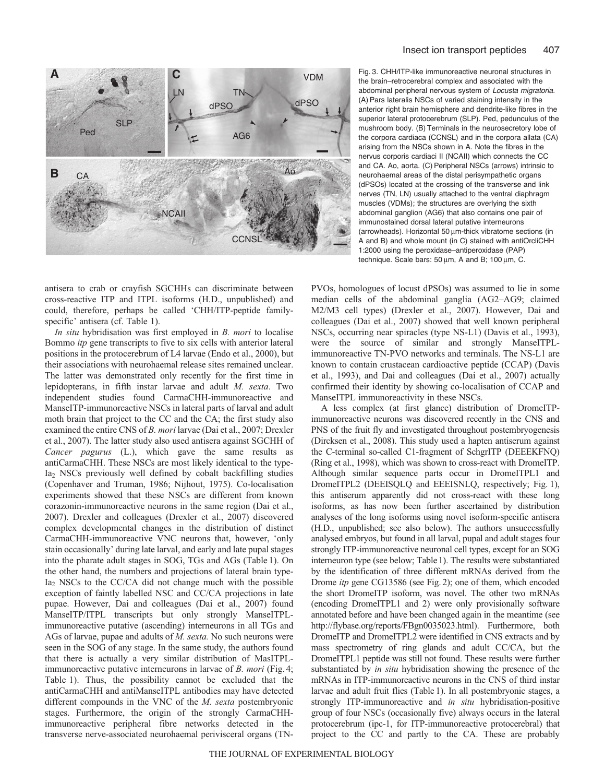

antisera to crab or crayfish SGCHHs can discriminate between cross-reactive ITP and ITPL isoforms (H.D., unpublished) and could, therefore, perhaps be called 'CHH/ITP-peptide familyspecific' antisera (cf. Table 1).

*In situ* hybridisation was first employed in *B. mori* to localise Bommo *itp* gene transcripts to five to six cells with anterior lateral positions in the protocerebrum of L4 larvae (Endo et al., 2000), but their associations with neurohaemal release sites remained unclear. The latter was demonstrated only recently for the first time in lepidopterans, in fifth instar larvae and adult *M. sexta*. Two independent studies found CarmaCHH-immunoreactive and ManseITP-immunoreactive NSCs in lateral parts of larval and adult moth brain that project to the CC and the CA; the first study also examined the entire CNS of *B. mori* larvae (Dai et al., 2007; Drexler et al., 2007). The latter study also used antisera against SGCHH of *Cancer pagurus* (L.), which gave the same results as antiCarmaCHH. These NSCs are most likely identical to the type-Ia2 NSCs previously well defined by cobalt backfilling studies (Copenhaver and Truman, 1986; Nijhout, 1975). Co-localisation experiments showed that these NSCs are different from known corazonin-immunoreactive neurons in the same region (Dai et al., 2007). Drexler and colleagues (Drexler et al., 2007) discovered complex developmental changes in the distribution of distinct CarmaCHH-immunoreactive VNC neurons that, however, 'only stain occasionally' during late larval, and early and late pupal stages into the pharate adult stages in SOG, TGs and AGs (Table 1). On the other hand, the numbers and projections of lateral brain type-Ia2 NSCs to the CC/CA did not change much with the possible exception of faintly labelled NSC and CC/CA projections in late pupae. However, Dai and colleagues (Dai et al., 2007) found ManseITP/ITPL transcripts but only strongly ManseITPLimmunoreactive putative (ascending) interneurons in all TGs and AGs of larvae, pupae and adults of *M. sexta.* No such neurons were seen in the SOG of any stage. In the same study, the authors found that there is actually a very similar distribution of MasITPLimmunoreactive putative interneurons in larvae of *B. mori* (Fig. 4; Table 1). Thus, the possibility cannot be excluded that the antiCarmaCHH and antiManseITPL antibodies may have detected different compounds in the VNC of the *M. sexta* postembryonic stages. Furthermore, the origin of the strongly CarmaCHHimmunoreactive peripheral fibre networks detected in the transverse nerve-associated neurohaemal perivisceral organs (TN-

Fig. 3. CHH/ITP-like immunoreactive neuronal structures in the brain–retrocerebral complex and associated with the abdominal peripheral nervous system of Locusta migratoria. (A) Pars lateralis NSCs of varied staining intensity in the anterior right brain hemisphere and dendrite-like fibres in the superior lateral protocerebrum (SLP). Ped, pedunculus of the mushroom body. (B) Terminals in the neurosecretory lobe of the corpora cardiaca (CCNSL) and in the corpora allata (CA) arising from the NSCs shown in A. Note the fibres in the nervus corporis cardiaci II (NCAII) which connects the CC and CA. Ao, aorta. (C) Peripheral NSCs (arrows) intrinsic to neurohaemal areas of the distal perisympathetic organs (dPSOs) located at the crossing of the transverse and link nerves (TN, LN) usually attached to the ventral diaphragm muscles (VDMs); the structures are overlying the sixth abdominal ganglion (AG6) that also contains one pair of immunostained dorsal lateral putative interneurons (arrowheads). Horizontal 50 μm-thick vibratome sections (in A and B) and whole mount (in C) stained with antiOrcliCHH 1:2000 using the peroxidase–antiperoxidase (PAP) technique. Scale bars: 50 μm, A and B; 100 μm, C.

PVOs, homologues of locust dPSOs) was assumed to lie in some median cells of the abdominal ganglia (AG2–AG9; claimed M2/M3 cell types) (Drexler et al., 2007). However, Dai and colleagues (Dai et al., 2007) showed that well known peripheral NSCs, occurring near spiracles (type NS-L1) (Davis et al., 1993), were the source of similar and strongly ManseITPLimmunoreactive TN-PVO networks and terminals. The NS-L1 are known to contain crustacean cardioactive peptide (CCAP) (Davis et al., 1993), and Dai and colleagues (Dai et al., 2007) actually confirmed their identity by showing co-localisation of CCAP and ManseITPL immunoreactivity in these NSCs.

A less complex (at first glance) distribution of DromeITPimmunoreactive neurons was discovered recently in the CNS and PNS of the fruit fly and investigated throughout postembryogenesis (Dircksen et al., 2008). This study used a hapten antiserum against the C-terminal so-called C1-fragment of SchgrITP (DEEEKFNQ) (Ring et al., 1998), which was shown to cross-react with DromeITP. Although similar sequence parts occur in DromeITPL1 and DromeITPL2 (DEEISQLQ and EEEISNLQ, respectively; Fig. 1), this antiserum apparently did not cross-react with these long isoforms, as has now been further ascertained by distribution analyses of the long isoforms using novel isoform-specific antisera (H.D., unpublished; see also below). The authors unsuccessfully analysed embryos, but found in all larval, pupal and adult stages four strongly ITP-immunoreactive neuronal cell types, except for an SOG interneuron type (see below; Table1). The results were substantiated by the identification of three different mRNAs derived from the Drome *itp* gene CG13586 (see Fig. 2); one of them, which encoded the short DromeITP isoform, was novel. The other two mRNAs (encoding DromeITPL1 and 2) were only provisionally software annotated before and have been changed again in the meantime (see http://flybase.org/reports/FBgn0035023.html). Furthermore, both DromeITP and DromeITPL2 were identified in CNS extracts and by mass spectrometry of ring glands and adult CC/CA, but the DromeITPL1 peptide was still not found. These results were further substantiated by *in situ* hybridisation showing the presence of the mRNAs in ITP-immunoreactive neurons in the CNS of third instar larvae and adult fruit flies (Table 1). In all postembryonic stages, a strongly ITP-immunoreactive and *in situ* hybridisation-positive group of four NSCs (occasionally five) always occurs in the lateral protocerebrum (ipc-1, for ITP-immunoreactive protocerebral) that project to the CC and partly to the CA. These are probably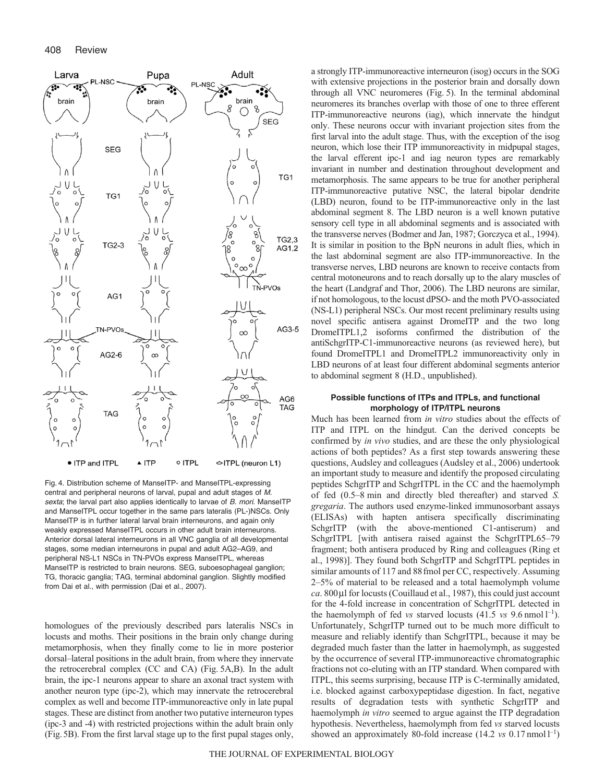

Fig. 4. Distribution scheme of ManseITP- and ManseITPL-expressing central and peripheral neurons of larval, pupal and adult stages of M. sexta; the larval part also applies identically to larvae of B. mori. ManseITP and ManseITPL occur together in the same pars lateralis (PL-)NSCs. Only ManseITP is in further lateral larval brain interneurons, and again only weakly expressed ManseITPL occurs in other adult brain interneurons. Anterior dorsal lateral interneurons in all VNC ganglia of all developmental stages, some median interneurons in pupal and adult AG2–AG9, and peripheral NS-L1 NSCs in TN-PVOs express ManseITPL, whereas ManseITP is restricted to brain neurons. SEG, suboesophageal ganglion; TG, thoracic ganglia; TAG, terminal abdominal ganglion. Slightly modified from Dai et al., with permission (Dai et al., 2007).

homologues of the previously described pars lateralis NSCs in locusts and moths. Their positions in the brain only change during metamorphosis, when they finally come to lie in more posterior dorsal–lateral positions in the adult brain, from where they innervate the retrocerebral complex (CC and CA) (Fig. 5A,B). In the adult brain, the ipc-1 neurons appear to share an axonal tract system with another neuron type (ipc-2), which may innervate the retrocerebral complex as well and become ITP-immunoreactive only in late pupal stages. These are distinct from another two putative interneuron types (ipc-3 and -4) with restricted projections within the adult brain only (Fig.5B). From the first larval stage up to the first pupal stages only, a strongly ITP-immunoreactive interneuron (isog) occurs in the SOG with extensive projections in the posterior brain and dorsally down through all VNC neuromeres (Fig. 5). In the terminal abdominal neuromeres its branches overlap with those of one to three efferent ITP-immunoreactive neurons (iag), which innervate the hindgut only. These neurons occur with invariant projection sites from the first larval into the adult stage. Thus, with the exception of the isog neuron, which lose their ITP immunoreactivity in midpupal stages, the larval efferent ipc-1 and iag neuron types are remarkably invariant in number and destination throughout development and metamorphosis. The same appears to be true for another peripheral ITP-immunoreactive putative NSC, the lateral bipolar dendrite (LBD) neuron, found to be ITP-immunoreactive only in the last abdominal segment 8. The LBD neuron is a well known putative sensory cell type in all abdominal segments and is associated with the transverse nerves (Bodmer and Jan, 1987; Gorczyca et al., 1994). It is similar in position to the BpN neurons in adult flies, which in the last abdominal segment are also ITP-immunoreactive. In the transverse nerves, LBD neurons are known to receive contacts from central motoneurons and to reach dorsally up to the alary muscles of the heart (Landgraf and Thor, 2006). The LBD neurons are similar, if not homologous, to the locust dPSO- and the moth PVO-associated (NS-L1) peripheral NSCs. Our most recent preliminary results using novel specific antisera against DromeITP and the two long DromeITPL1,2 isoforms confirmed the distribution of the antiSchgrITP-C1-immunoreactive neurons (as reviewed here), but found DromeITPL1 and DromeITPL2 immunoreactivity only in LBD neurons of at least four different abdominal segments anterior to abdominal segment 8 (H.D., unpublished).

## **Possible functions of ITPs and ITPLs, and functional morphology of ITP/ITPL neurons**

Much has been learned from *in vitro* studies about the effects of ITP and ITPL on the hindgut. Can the derived concepts be confirmed by *in vivo* studies, and are these the only physiological actions of both peptides? As a first step towards answering these questions, Audsley and colleagues (Audsley et al., 2006) undertook an important study to measure and identify the proposed circulating peptides SchgrITP and SchgrITPL in the CC and the haemolymph of fed (0.5–8 min and directly bled thereafter) and starved *S. gregaria*. The authors used enzyme-linked immunosorbant assays (ELISAs) with hapten antisera specifically discriminating SchgrITP (with the above-mentioned C1-antiserum) and SchgrITPL [with antisera raised against the SchgrITPL65–79 fragment; both antisera produced by Ring and colleagues (Ring et al., 1998)]. They found both SchgrITP and SchgrITPL peptides in similar amounts of 117 and 88 fmol per CC, respectively. Assuming 2–5% of material to be released and a total haemolymph volume *ca*. 800μl for locusts (Couillaud et al., 1987), this could just account for the 4-fold increase in concentration of SchgrITPL detected in the haemolymph of fed *vs* starved locusts  $(41.5 \text{ vs } 9.6 \text{ nmol } l^{-1})$ . Unfortunately, SchgrITP turned out to be much more difficult to measure and reliably identify than SchgrITPL, because it may be degraded much faster than the latter in haemolymph, as suggested by the occurrence of several ITP-immunoreactive chromatographic fractions not co-eluting with an ITP standard. When compared with ITPL, this seems surprising, because ITP is C-terminally amidated, i.e. blocked against carboxypeptidase digestion. In fact, negative results of degradation tests with synthetic SchgrITP and haemolymph *in vitro* seemed to argue against the ITP degradation hypothesis. Nevertheless, haemolymph from fed *vs* starved locusts showed an approximately 80-fold increase (14.2 *vs* 0.17 nmol l<sup>-1</sup>)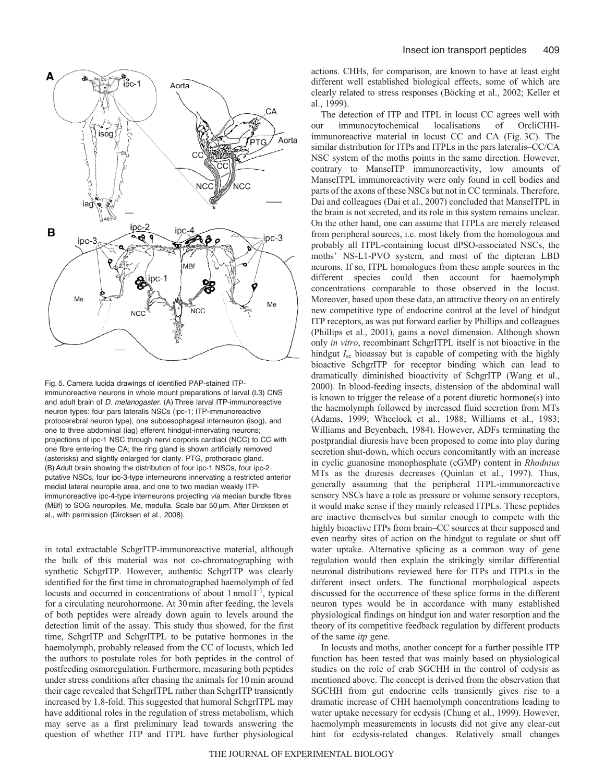

Fig. 5. Camera lucida drawings of identified PAP-stained ITPimmunoreactive neurons in whole mount preparations of larval (L3) CNS and adult brain of D. melanogaster. (A) Three larval ITP-immunoreactive neuron types: four pars lateralis NSCs (ipc-1; ITP-immunoreactive protocerebral neuron type), one suboesophageal interneuron (isog), and one to three abdominal (iag) efferent hindgut-innervating neurons; projections of ipc-1 NSC through nervi corporis cardiaci (NCC) to CC with one fibre entering the CA; the ring gland is shown artificially removed (asterisks) and slightly enlarged for clarity. PTG, prothoracic gland. (B) Adult brain showing the distribution of four ipc-1 NSCs, four ipc-2 putative NSCs, four ipc-3-type interneurons innervating a restricted anterior medial lateral neuropile area, and one to two median weakly ITPimmunoreactive ipc-4-type interneurons projecting via median bundle fibres (MBf) to SOG neuropiles. Me, medulla. Scale bar 50 μm. After Dircksen et al., with permission (Dircksen et al., 2008).

in total extractable SchgrITP-immunoreactive material, although the bulk of this material was not co-chromatographing with synthetic SchgrITP. However, authentic SchgrITP was clearly identified for the first time in chromatographed haemolymph of fed locusts and occurred in concentrations of about 1 nmol  $l^{-1}$ , typical for a circulating neurohormone. At 30 min after feeding, the levels of both peptides were already down again to levels around the detection limit of the assay. This study thus showed, for the first time, SchgrITP and SchgrITPL to be putative hormones in the haemolymph, probably released from the CC of locusts, which led the authors to postulate roles for both peptides in the control of postfeeding osmoregulation. Furthermore, measuring both peptides under stress conditions after chasing the animals for 10min around their cage revealed that SchgrITPL rather than SchgrITP transiently increased by 1.8-fold. This suggested that humoral SchgrITPL may have additional roles in the regulation of stress metabolism, which may serve as a first preliminary lead towards answering the question of whether ITP and ITPL have further physiological actions. CHHs, for comparison, are known to have at least eight different well established biological effects, some of which are clearly related to stress responses (Böcking et al., 2002; Keller et al., 1999).

The detection of ITP and ITPL in locust CC agrees well with our immunocytochemical localisations of OrcliCHHimmunoreactive material in locust CC and CA (Fig. 3C). The similar distribution for ITPs and ITPLs in the pars lateralis–CC/CA NSC system of the moths points in the same direction. However, contrary to ManseITP immunoreactivity, low amounts of ManseITPL immunoreactivity were only found in cell bodies and parts of the axons of these NSCs but not in CC terminals. Therefore, Dai and colleagues (Dai et al., 2007) concluded that ManseITPL in the brain is not secreted, and its role in this system remains unclear. On the other hand, one can assume that ITPLs are merely released from peripheral sources, i.e. most likely from the homologous and probably all ITPL-containing locust dPSO-associated NSCs, the moths' NS-L1-PVO system, and most of the dipteran LBD neurons. If so, ITPL homologues from these ample sources in the different species could then account for haemolymph concentrations comparable to those observed in the locust. Moreover, based upon these data, an attractive theory on an entirely new competitive type of endocrine control at the level of hindgut ITP receptors, as was put forward earlier by Phillips and colleagues (Phillips et al., 2001), gains a novel dimension. Although shown only *in vitro*, recombinant SchgrITPL itself is not bioactive in the hindgut *I*sc bioassay but is capable of competing with the highly bioactive SchgrITP for receptor binding which can lead to dramatically diminished bioactivity of SchgrITP (Wang et al., 2000). In blood-feeding insects, distension of the abdominal wall is known to trigger the release of a potent diuretic hormone(s) into the haemolymph followed by increased fluid secretion from MTs (Adams, 1999; Wheelock et al., 1988; Williams et al., 1983; Williams and Beyenbach, 1984). However, ADFs terminating the postprandial diuresis have been proposed to come into play during secretion shut-down, which occurs concomitantly with an increase in cyclic guanosine monophosphate (cGMP) content in *Rhodnius* MTs as the diuresis decreases (Quinlan et al., 1997). Thus, generally assuming that the peripheral ITPL-immunoreactive sensory NSCs have a role as pressure or volume sensory receptors, it would make sense if they mainly released ITPLs. These peptides are inactive themselves but similar enough to compete with the highly bioactive ITPs from brain–CC sources at their supposed and even nearby sites of action on the hindgut to regulate or shut off water uptake. Alternative splicing as a common way of gene regulation would then explain the strikingly similar differential neuronal distributions reviewed here for ITPs and ITPLs in the different insect orders. The functional morphological aspects discussed for the occurrence of these splice forms in the different neuron types would be in accordance with many established physiological findings on hindgut ion and water resorption and the theory of its competitive feedback regulation by different products of the same *itp* gene.

In locusts and moths, another concept for a further possible ITP function has been tested that was mainly based on physiological studies on the role of crab SGCHH in the control of ecdysis as mentioned above. The concept is derived from the observation that SGCHH from gut endocrine cells transiently gives rise to a dramatic increase of CHH haemolymph concentrations leading to water uptake necessary for ecdysis (Chung et al., 1999). However, haemolymph measurements in locusts did not give any clear-cut hint for ecdysis-related changes. Relatively small changes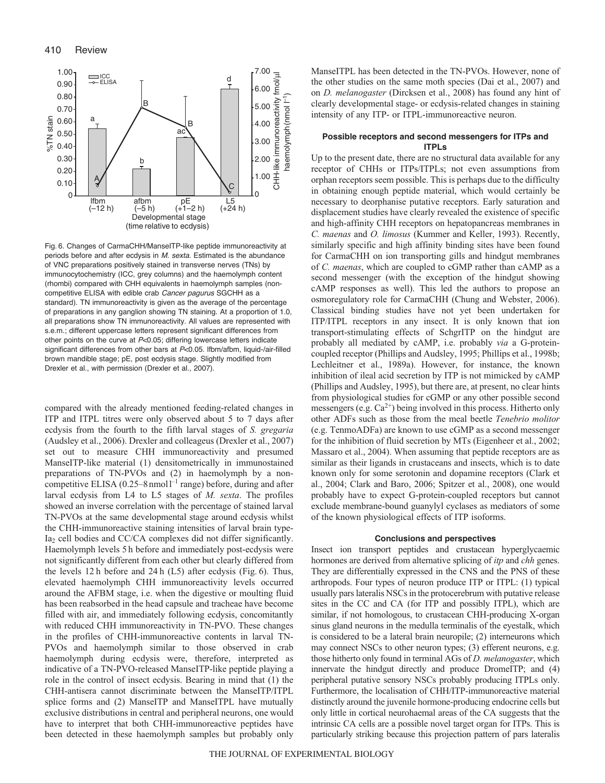![](_page_9_Figure_1.jpeg)

Fig. 6. Changes of CarmaCHH/ManseITP-like peptide immunoreactivity at periods before and after ecdysis in M. sexta. Estimated is the abundance of VNC preparations positively stained in transverse nerves (TNs) by immunocytochemistry (ICC, grey columns) and the haemolymph content (rhombi) compared with CHH equivalents in haemolymph samples (noncompetitive ELISA with edible crab Cancer pagurus SGCHH as a standard). TN immunoreactivity is given as the average of the percentage of preparations in any ganglion showing TN staining. At a proportion of 1.0, all preparations show TN immunoreactivity. All values are represented with s.e.m.; different uppercase letters represent significant differences from other points on the curve at P<0.05; differing lowercase letters indicate significant differences from other bars at P<0.05. Ifbm/afbm, liquid-/air-filled brown mandible stage; pE, post ecdysis stage. Slightly modified from Drexler et al., with permission (Drexler et al., 2007).

compared with the already mentioned feeding-related changes in ITP and ITPL titres were only observed about 5 to 7 days after ecdysis from the fourth to the fifth larval stages of *S. gregaria* (Audsley et al., 2006). Drexler and colleageus (Drexler et al., 2007) set out to measure CHH immunoreactivity and presumed ManseITP-like material (1) densitometrically in immunostained preparations of TN-PVOs and (2) in haemolymph by a noncompetitive ELISA ( $0.25-8$  nmoll<sup>-1</sup> range) before, during and after larval ecdysis from L4 to L5 stages of *M. sexta*. The profiles showed an inverse correlation with the percentage of stained larval TN-PVOs at the same developmental stage around ecdysis whilst the CHH-immunoreactive staining intensities of larval brain type-Ia2 cell bodies and CC/CA complexes did not differ significantly. Haemolymph levels 5 h before and immediately post-ecdysis were not significantly different from each other but clearly differed from the levels 12 h before and 24 h (L5) after ecdysis (Fig. 6). Thus, elevated haemolymph CHH immunoreactivity levels occurred around the AFBM stage, i.e. when the digestive or moulting fluid has been reabsorbed in the head capsule and tracheae have become filled with air, and immediately following ecdysis, concomitantly with reduced CHH immunoreactivity in TN-PVO. These changes in the profiles of CHH-immunoreactive contents in larval TN-PVOs and haemolymph similar to those observed in crab haemolymph during ecdysis were, therefore, interpreted as indicative of a TN-PVO-released ManseITP-like peptide playing a role in the control of insect ecdysis. Bearing in mind that (1) the CHH-antisera cannot discriminate between the ManseITP/ITPL splice forms and (2) ManseITP and ManseITPL have mutually exclusive distributions in central and peripheral neurons, one would have to interpret that both CHH-immunoreactive peptides have been detected in these haemolymph samples but probably only ManseITPL has been detected in the TN-PVOs. However, none of the other studies on the same moth species (Dai et al., 2007) and on *D. melanogaster* (Dircksen et al., 2008) has found any hint of clearly developmental stage- or ecdysis-related changes in staining intensity of any ITP- or ITPL-immunoreactive neuron.

### **Possible receptors and second messengers for ITPs and ITPLs**

Up to the present date, there are no structural data available for any receptor of CHHs or ITPs/ITPLs; not even assumptions from orphan receptors seem possible. This is perhaps due to the difficulty in obtaining enough peptide material, which would certainly be necessary to deorphanise putative receptors. Early saturation and displacement studies have clearly revealed the existence of specific and high-affinity CHH receptors on hepatopancreas membranes in *C. maenas* and *O. limosus* (Kummer and Keller, 1993). Recently, similarly specific and high affinity binding sites have been found for CarmaCHH on ion transporting gills and hindgut membranes of *C. maenas*, which are coupled to cGMP rather than cAMP as a second messenger (with the exception of the hindgut showing cAMP responses as well). This led the authors to propose an osmoregulatory role for CarmaCHH (Chung and Webster, 2006). Classical binding studies have not yet been undertaken for ITP/ITPL receptors in any insect. It is only known that ion transport-stimulating effects of SchgrITP on the hindgut are probably all mediated by cAMP, i.e. probably *via* a G-proteincoupled receptor (Phillips and Audsley, 1995; Phillips et al., 1998b; Lechleitner et al., 1989a). However, for instance, the known inhibition of ileal acid secretion by ITP is not mimicked by cAMP (Phillips and Audsley, 1995), but there are, at present, no clear hints from physiological studies for cGMP or any other possible second messengers (e.g.  $Ca^{2+}$ ) being involved in this process. Hitherto only other ADFs such as those from the meal beetle *Tenebrio molitor* (e.g. TenmoADFa) are known to use cGMP as a second messenger for the inhibition of fluid secretion by MTs (Eigenheer et al., 2002; Massaro et al., 2004). When assuming that peptide receptors are as similar as their ligands in crustaceans and insects, which is to date known only for some serotonin and dopamine receptors (Clark et al., 2004; Clark and Baro, 2006; Spitzer et al., 2008), one would probably have to expect G-protein-coupled receptors but cannot exclude membrane-bound guanylyl cyclases as mediators of some of the known physiological effects of ITP isoforms.

#### **Conclusions and perspectives**

Insect ion transport peptides and crustacean hyperglycaemic hormones are derived from alternative splicing of *itp* and *chh* genes. They are differentially expressed in the CNS and the PNS of these arthropods. Four types of neuron produce ITP or ITPL: (1) typical usually pars lateralis NSCs in the protocerebrum with putative release sites in the CC and CA (for ITP and possibly ITPL), which are similar, if not homologous, to crustacean CHH-producing X-organ sinus gland neurons in the medulla terminalis of the eyestalk, which is considered to be a lateral brain neuropile; (2) interneurons which may connect NSCs to other neuron types; (3) efferent neurons, e.g. those hitherto only found in terminal AGs of *D. melanogaster*, which innervate the hindgut directly and produce DromeITP; and (4) peripheral putative sensory NSCs probably producing ITPLs only. Furthermore, the localisation of CHH/ITP-immunoreactive material distinctly around the juvenile hormone-producing endocrine cells but only little in cortical neurohaemal areas of the CA suggests that the intrinsic CA cells are a possible novel target organ for ITPs. This is particularly striking because this projection pattern of pars lateralis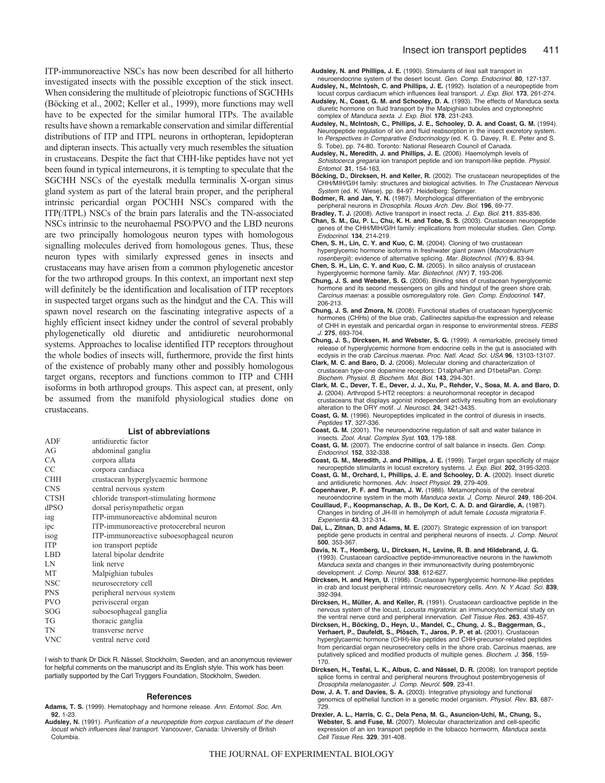ITP-immunoreactive NSCs has now been described for all hitherto investigated insects with the possible exception of the stick insect. When considering the multitude of pleiotropic functions of SGCHHs (Böcking et al., 2002; Keller et al., 1999), more functions may well have to be expected for the similar humoral ITPs. The available results have shown a remarkable conservation and similar differential distributions of ITP and ITPL neurons in orthopteran, lepidopteran and dipteran insects. This actually very much resembles the situation in crustaceans. Despite the fact that CHH-like peptides have not yet been found in typical interneurons, it is tempting to speculate that the SGCHH NSCs of the eyestalk medulla terminalis X-organ sinus gland system as part of the lateral brain proper, and the peripheral intrinsic pericardial organ POCHH NSCs compared with the ITP(/ITPL) NSCs of the brain pars lateralis and the TN-associated NSCs intrinsic to the neurohaemal PSO/PVO and the LBD neurons are two principally homologous neuron types with homologous signalling molecules derived from homologous genes. Thus, these neuron types with similarly expressed genes in insects and crustaceans may have arisen from a common phylogenetic ancestor for the two arthropod groups. In this context, an important next step will definitely be the identification and localisation of ITP receptors in suspected target organs such as the hindgut and the CA. This will spawn novel research on the fascinating integrative aspects of a highly efficient insect kidney under the control of several probably phylogenetically old diuretic and antidiuretic neurohormonal systems. Approaches to localise identified ITP receptors throughout the whole bodies of insects will, furthermore, provide the first hints of the existence of probably many other and possibly homologous target organs, receptors and functions common to ITP and CHH isoforms in both arthropod groups. This aspect can, at present, only be assumed from the manifold physiological studies done on crustaceans.

#### **List of abbreviations**

| ADF         | antidiuretic factor                      |
|-------------|------------------------------------------|
| AG          | abdominal ganglia                        |
| <b>CA</b>   | corpora allata                           |
| <b>CC</b>   | corpora cardiaca                         |
| <b>CHH</b>  | crustacean hyperglycaemic hormone        |
| <b>CNS</b>  | central nervous system                   |
| <b>CTSH</b> | chloride transport-stimulating hormone   |
| dPSO        | dorsal perisympathetic organ             |
| iag         | ITP-immunoreactive abdominal neuron      |
| ipc         | ITP-immunoreactive protocerebral neuron  |
| isog        | ITP-immunoreactive suboesophageal neuron |
| <b>ITP</b>  | ion transport peptide                    |
| <b>LBD</b>  | lateral bipolar dendrite                 |
| LN          | link nerve                               |
| <b>MT</b>   | Malpighian tubules                       |
| <b>NSC</b>  | neurosecretory cell                      |
| <b>PNS</b>  | peripheral nervous system                |
| <b>PVO</b>  | perivisceral organ                       |
| SOG         | suboesophageal ganglia                   |
| <b>TG</b>   | thoracic ganglia                         |
| TN          | transverse nerve                         |
| <b>VNC</b>  | ventral nerve cord                       |

I wish to thank Dr Dick R. Nässel, Stockholm, Sweden, and an anonymous reviewer for helpful comments on the manuscript and its English style. This work has been partially supported by the Carl Tryggers Foundation, Stockholm, Sweden.

#### **References**

- **Adams, T. S.** (1999). Hematophagy and hormone release. Ann. Entomol. Soc. Am. **92**, 1-23.
- **Audsley, N.** (1991). Purification of a neuropeptide from corpus cardiacum of the desert locust which influences ileal transport. Vancouver, Canada: University of British Columbia.

**Audsley, N. and Phillips, J. E.** (1990). Stimulants of ileal salt transport in neuroendocrine system of the desert locust. Gen. Comp. Endocrinol. **80**, 127-137.

- **Audsley, N., McIntosh, C. and Phillips, J. E.** (1992). Isolation of a neuropeptide from locust corpus cardiacum which influences ileal transport. J. Exp. Biol. **173**, 261-274.
- **Audsley, N., Coast, G. M. and Schooley, D. A.** (1993). The effects of Manduca sexta diuretic hormone on fluid transport by the Malpighian tubules and cryptonephric complex of Manduca sexta. J. Exp. Biol. **178**, 231-243.
- **Audsley, N., McIntosh, C., Phillips, J. E., Schooley, D. A. and Coast, G. M.** (1994). Neuropeptide regulation of ion and fluid reabsorption in the insect excretory system. In Perspectives in Comparative Endocrinology (ed. K. G. Davey, R. E. Peter and S. S. Tobe), pp. 74-80. Toronto: National Research Council of Canada.
- **Audsley, N., Meredith, J. and Phillips, J. E.** (2006). Haemolymph levels of Schistocerca gregaria ion transport peptide and ion transport-like peptide. Physiol. Entomol. **31**, 154-163.
- **Böcking, D., Dircksen, H. and Keller, R.** (2002). The crustacean neuropeptides of the CHH/MIH/GIH family: structures and biological activities. In The Crustacean Nervous System (ed. K. Wiese), pp. 84-97. Heidelberg: Springer.
- **Bodmer, R. and Jan, Y. N.** (1987). Morphological differentiation of the embryonic peripheral neurons in Drosophila. Rouxs Arch. Dev. Biol. **196**, 69-77.
- **Bradley, T. J.** (2008). Active transport in insect recta. J. Exp. Biol. **211**, 835-836.
- **Chan, S. M., Gu, P. L., Chu, K. H. and Tobe, S. S.** (2003). Crustacean neuropeptide genes of the CHH/MIH/GIH family: implications from molecular studies. Gen. Comp. Endocrinol. **134**, 214-219.
- **Chen, S. H., Lin, C. Y. and Kuo, C. M.** (2004). Cloning of two crustacean hyperglycemic hormone isoforms in freshwater giant prawn (Macrobrachium rosenbergii): evidence of alternative splicing. Mar. Biotechnol. (NY) **6**, 83-94.
- **Chen, S. H., Lin, C. Y. and Kuo, C. M.** (2005). In silico analysis of crustacean hyperglycemic hormone family. Mar. Biotechnol. (NY) **7**, 193-206.
- **Chung, J. S. and Webster, S. G.** (2006). Binding sites of crustacean hyperglycemic hormone and its second messengers on gills and hindgut of the green shore crab, Carcinus maenas: a possible osmoregulatory role. Gen. Comp. Endocrinol. **147**, 206-213.
- **Chung, J. S. and Zmora, N.** (2008). Functional studies of crustacean hyperglycemic hormones (CHHs) of the blue crab, *Callinectes sapidus*-the expression and release of CHH in eyestalk and pericardial organ in response to environmental stress. FEBS J. **275**, 693-704.
- **Chung, J. S., Dircksen, H. and Webster, S. G.** (1999). A remarkable, precisely timed release of hyperglycemic hormone from endocrine cells in the gut is associated with ecdysis in the crab Carcinus maenas. Proc. Natl. Acad. Sci. USA **96**, 13103-13107.
- **Clark, M. C. and Baro, D. J.** (2006). Molecular cloning and characterization of crustacean type-one dopamine receptors: D1alphaPan and D1betaPan. Comp. Biochem. Physiol. B, Biochem. Mol. Biol. **143**, 294-301.
- **Clark, M. C., Dever, T. E., Dever, J. J., Xu, P., Rehder, V., Sosa, M. A. and Baro, D. J.** (2004). Arthropod 5-HT2 receptors: a neurohormonal receptor in decapod crustaceans that displays agonist independent activity resulting from an evolutionary alteration to the DRY motif. J. Neurosci. **24**, 3421-3435.
- **Coast, G. M.** (1996). Neuropeptides implicated in the control of diuresis in insects. Peptides **17**, 327-336.
- **Coast, G. M.** (2001). The neuroendocrine regulation of salt and water balance in insects. Zool. Anal. Complex Syst. **103**, 179-188.
- **Coast, G. M.** (2007). The endocrine control of salt balance in insects. Gen. Comp. Endocrinol. **152**, 332-338.
- **Coast, G. M., Meredith, J. and Phillips, J. E.** (1999). Target organ specificity of major neuropeptide stimulants in locust excretory systems. J. Exp. Biol. **202**, 3195-3203.
- **Coast, G. M., Orchard, I., Phillips, J. E. and Schooley, D. A.** (2002). Insect diuretic and antidiuretic hormones. Adv. Insect Physiol. **29**, 279-409.
- **Copenhaver, P. F. and Truman, J. W.** (1986). Metamorphosis of the cerebral neuroendocrine system in the moth Manduca sexta. J. Comp. Neurol. **249**, 186-204.
- **Couillaud, F., Koopmanschap, A. B., De Kort, C. A. D. and Girardie, A.** (1987). Changes in binding of JH-III in hemolymph of adult female Locusta migratoria F. Experientia **43**, 312-314.
- **Dai, L., Zitnan, D. and Adams, M. E.** (2007). Strategic expression of ion transport peptide gene products in central and peripheral neurons of insects. J. Comp. Neurol. **500**, 353-367.
- **Davis, N. T., Homberg, U., Dircksen, H., Levine, R. B. and Hildebrand, J. G.** (1993). Crustacean cardioactive peptide-immunoreactive neurons in the hawkmoth Manduca sexta and changes in their immunoreactivity during postembryonic development. J. Comp. Neurol. **338**, 612-627.
- **Dircksen, H. and Heyn, U.** (1998). Crustacean hyperglycemic hormone-like peptides in crab and locust peripheral intrinsic neurosecretory cells. Ann. N. Y Acad. Sci. **839**, 392-394.
- **Dircksen, H., Müller, A. and Keller, R.** (1991). Crustacean cardioactive peptide in the nervous system of the locust, Locusta migratoria: an immunocytochemical study on the ventral nerve cord and peripheral innervation. Cell Tissue Res. **263**, 439-457.
- **Dircksen, H., Böcking, D., Heyn, U., Mandel, C., Chung, J. S., Baggerman, G., Verhaert, P., Daufeldt, S., Plösch, T., Jaros, P. P. et al.** (2001). Crustacean hyperglycaemic hormone (CHH)-like peptides and CHH-precursor-related peptides from pericardial organ neurosecretory cells in the shore crab, Carcinus maenas, are putatively spliced and modified products of multiple genes. Biochem. J. **356**, 159- 170.
- **Dircksen, H., Tesfai, L. K., Albus, C. and Nässel, D. R.** (2008). Ion transport peptide splice forms in central and peripheral neurons throughout postembryogenesis of Drosophila melanogaster. J. Comp. Neurol. **509**, 23-41.
- **Dow, J. A. T. and Davies, S. A.** (2003). Integrative physiology and functional genomics of epithelial function in a genetic model organism. Physiol. Rev. **83**, 687- 729.
- **Drexler, A. L., Harris, C. C., Dela Pena, M. G., Asuncion-Uchi, M., Chung, S., Webster, S. and Fuse, M.** (2007). Molecular characterization and cell-specific expression of an ion transport peptide in the tobacco hornworm, Manduca sexta. Cell Tissue Res. **329**, 391-408.